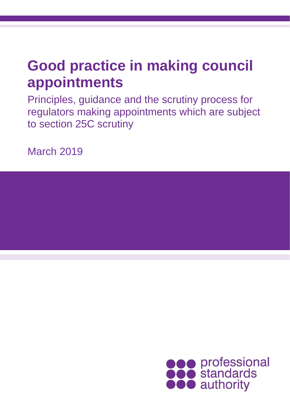# **Good practice in making council appointments**

Principles, guidance and the scrutiny process for regulators making appointments which are subject to section 25C scrutiny

March 2019

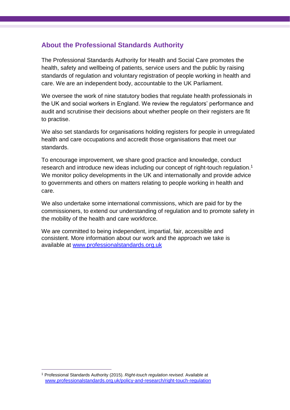## **About the Professional Standards Authority**

The Professional Standards Authority for Health and Social Care promotes the health, safety and wellbeing of patients, service users and the public by raising standards of regulation and voluntary registration of people working in health and care. We are an independent body, accountable to the UK Parliament.

We oversee the work of nine statutory bodies that regulate health professionals in the UK and social workers in England. We review the regulators' performance and audit and scrutinise their decisions about whether people on their registers are fit to practise.

We also set standards for organisations holding registers for people in unregulated health and care occupations and accredit those organisations that meet our standards.

To encourage improvement, we share good practice and knowledge, conduct research and introduce new ideas including our concept of right-touch regulation. 1 We monitor policy developments in the UK and internationally and provide advice to governments and others on matters relating to people working in health and care.

We also undertake some international commissions, which are paid for by the commissioners, to extend our understanding of regulation and to promote safety in the mobility of the health and care workforce.

We are committed to being independent, impartial, fair, accessible and consistent. More information about our work and the approach we take is available at [www.professionalstandards.org.uk](http://www.professionalstandards.org.uk/)

 $\overline{a}$ 

<sup>1</sup> Professional Standards Authority (2015). *Right-touch regulation revised*. Available at [www.professionalstandards.org.uk/policy-and-research/right-touch-regulation](file:///D:/Users/mstobbs/AppData/Local/Microsoft/Windows/Temporary%20Internet%20Files/Content.Outlook/MAX8ZTPJ/www.professionalstandards.org.uk/policy-and-research/right-touch-regulation)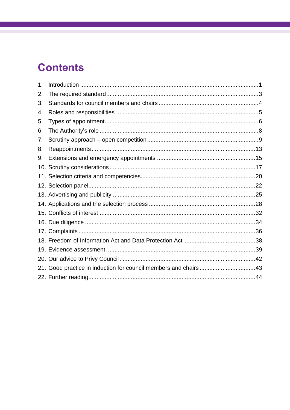# **Contents**

| 1. |                                                                  |  |
|----|------------------------------------------------------------------|--|
| 2. |                                                                  |  |
| 3. |                                                                  |  |
| 4. |                                                                  |  |
| 5. |                                                                  |  |
| 6. |                                                                  |  |
| 7. |                                                                  |  |
| 8. |                                                                  |  |
| 9. |                                                                  |  |
|    |                                                                  |  |
|    |                                                                  |  |
|    |                                                                  |  |
|    |                                                                  |  |
|    |                                                                  |  |
|    |                                                                  |  |
|    |                                                                  |  |
|    |                                                                  |  |
|    |                                                                  |  |
|    |                                                                  |  |
|    |                                                                  |  |
|    | 21. Good practice in induction for council members and chairs 43 |  |
|    |                                                                  |  |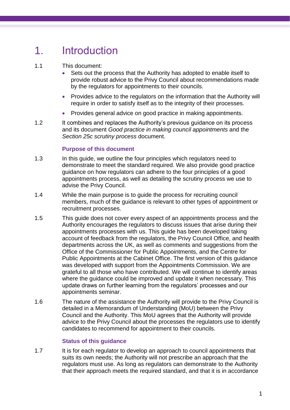# <span id="page-3-0"></span>1. Introduction

## 1.1 This document:

- Sets out the process that the Authority has adopted to enable itself to provide robust advice to the Privy Council about recommendations made by the regulators for appointments to their councils.
- Provides advice to the regulators on the information that the Authority will require in order to satisfy itself as to the integrity of their processes.
- Provides general advice on good practice in making appointments.
- 1.2 It combines and replaces the Authority's previous guidance on its process and its document *Good practice in making council appointments* and the *Section 25c scrutiny process* document.

## **Purpose of this document**

- 1.3 In this guide, we outline the four principles which regulators need to demonstrate to meet the standard required. We also provide good practice guidance on how regulators can adhere to the four principles of a good appointments process, as well as detailing the scrutiny process we use to advise the Privy Council.
- 1.4 While the main purpose is to guide the process for recruiting council members, much of the guidance is relevant to other types of appointment or recruitment processes.
- 1.5 This guide does not cover every aspect of an appointments process and the Authority encourages the regulators to discuss issues that arise during their appointments processes with us. This guide has been developed taking account of feedback from the regulators, the Privy Council Office, and health departments across the UK, as well as comments and suggestions from the Office of the Commissioner for Public Appointments, and the Centre for Public Appointments at the Cabinet Office. The first version of this guidance was developed with support from the Appointments Commission. We are grateful to all those who have contributed. We will continue to identify areas where the guidance could be improved and update it when necessary. This update draws on further learning from the regulators' processes and our appointments seminar.
- 1.6 The nature of the assistance the Authority will provide to the Privy Council is detailed in a Memorandum of Understanding (MoU) between the Privy Council and the Authority. This MoU agrees that the Authority will provide advice to the Privy Council about the processes the regulators use to identify candidates to recommend for appointment to their councils.

#### **Status of this guidance**

1.7 It is for each regulator to develop an approach to council appointments that suits its own needs; the Authority will not prescribe an approach that the regulators must use. As long as regulators can demonstrate to the Authority that their approach meets the required standard, and that it is in accordance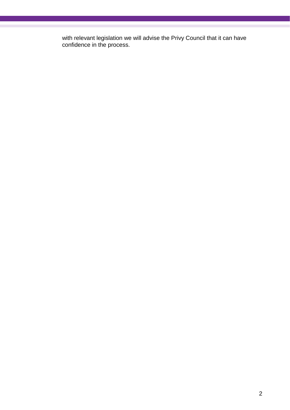with relevant legislation we will advise the Privy Council that it can have confidence in the process.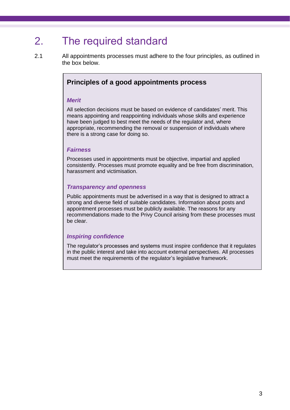## <span id="page-5-0"></span>2. The required standard

2.1 All appointments processes must adhere to the four principles, as outlined in the box below.

## **Principles of a good appointments process**

#### *Merit*

All selection decisions must be based on evidence of candidates' merit. This means appointing and reappointing individuals whose skills and experience have been judged to best meet the needs of the regulator and, where appropriate, recommending the removal or suspension of individuals where there is a strong case for doing so.

#### *Fairness*

Processes used in appointments must be objective, impartial and applied consistently. Processes must promote equality and be free from discrimination, harassment and victimisation.

#### *Transparency and openness*

Public appointments must be advertised in a way that is designed to attract a strong and diverse field of suitable candidates. Information about posts and appointment processes must be publicly available. The reasons for any recommendations made to the Privy Council arising from these processes must be clear.

## *Inspiring confidence*

The regulator's processes and systems must inspire confidence that it regulates in the public interest and take into account external perspectives. All processes must meet the requirements of the regulator's legislative framework.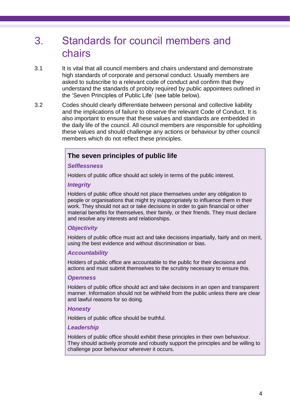## <span id="page-6-0"></span>3. Standards for council members and chairs

- 3.1 It is vital that all council members and chairs understand and demonstrate high standards of corporate and personal conduct. Usually members are asked to subscribe to a relevant code of conduct and confirm that they understand the standards of probity required by public appointees outlined in the 'Seven Principles of Public Life' (see table below).
- 3.2 Codes should clearly differentiate between personal and collective liability and the implications of failure to observe the relevant Code of Conduct. It is also important to ensure that these values and standards are embedded in the daily life of the council. All council members are responsible for upholding these values and should challenge any actions or behaviour by other council members which do not reflect these principles.

## **The seven principles of public life**

### *Selflessness*

Holders of public office should act solely in terms of the public interest.

### *Integrity*

Holders of public office should not place themselves under any obligation to people or organisations that might try inappropriately to influence them in their work. They should not act or take decisions in order to gain financial or other material benefits for themselves, their family, or their friends. They must declare and resolve any interests and relationships.

## *Objectivity*

Holders of public office must act and take decisions impartially, fairly and on merit, using the best evidence and without discrimination or bias.

## *Accountability*

Holders of public office are accountable to the public for their decisions and actions and must submit themselves to the scrutiny necessary to ensure this.

#### *Openness*

Holders of public office should act and take decisions in an open and transparent manner. Information should not be withheld from the public unless there are clear and lawful reasons for so doing.

## *Honesty*

Holders of public office should be truthful.

## *Leadership*

Holders of public office should exhibit these principles in their own behaviour. They should actively promote and robustly support the principles and be willing to challenge poor behaviour wherever it occurs.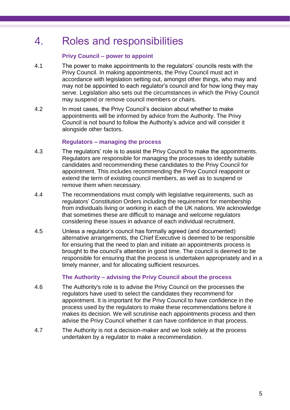## <span id="page-7-0"></span>4. Roles and responsibilities

## **Privy Council – power to appoint**

- 4.1 The power to make appointments to the regulators' councils rests with the Privy Council. In making appointments, the Privy Council must act in accordance with legislation setting out, amongst other things, who may and may not be appointed to each regulator's council and for how long they may serve. Legislation also sets out the circumstances in which the Privy Council may suspend or remove council members or chairs.
- 4.2 In most cases, the Privy Council's decision about whether to make appointments will be informed by advice from the Authority. The Privy Council is not bound to follow the Authority's advice and will consider it alongside other factors.

### **Regulators – managing the process**

- 4.3 The regulators' role is to assist the Privy Council to make the appointments. Regulators are responsible for managing the processes to identify suitable candidates and recommending these candidates to the Privy Council for appointment. This includes recommending the Privy Council reappoint or extend the term of existing council members, as well as to suspend or remove them when necessary.
- 4.4 The recommendations must comply with legislative requirements, such as regulators' Constitution Orders including the requirement for membership from individuals living or working in each of the UK nations. We acknowledge that sometimes these are difficult to manage and welcome regulators considering these issues in advance of each individual recruitment.
- 4.5 Unless a regulator's council has formally agreed (and documented) alternative arrangements, the Chief Executive is deemed to be responsible for ensuring that the need to plan and initiate an appointments process is brought to the council's attention in good time. The council is deemed to be responsible for ensuring that the process is undertaken appropriately and in a timely manner, and for allocating sufficient resources.

## **The Authority – advising the Privy Council about the process**

- 4.6 The Authority's role is to advise the Privy Council on the processes the regulators have used to select the candidates they recommend for appointment. It is important for the Privy Council to have confidence in the process used by the regulators to make these recommendations before it makes its decision. We will scrutinise each appointments process and then advise the Privy Council whether it can have confidence in that process.
- 4.7 The Authority is not a decision-maker and we look solely at the process undertaken by a regulator to make a recommendation.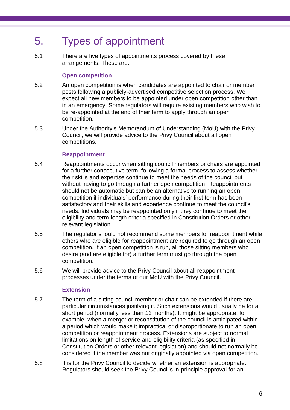## <span id="page-8-0"></span>5. Types of appointment

5.1 There are five types of appointments process covered by these arrangements. These are:

## **Open competition**

- 5.2 An open competition is when candidates are appointed to chair or member posts following a publicly-advertised competitive selection process. We expect all new members to be appointed under open competition other than in an emergency. Some regulators will require existing members who wish to be re-appointed at the end of their term to apply through an open competition.
- 5.3 Under the Authority's Memorandum of Understanding (MoU) with the Privy Council, we will provide advice to the Privy Council about all open competitions.

## **Reappointment**

- 5.4 Reappointments occur when sitting council members or chairs are appointed for a further consecutive term, following a formal process to assess whether their skills and expertise continue to meet the needs of the council but without having to go through a further open competition. Reappointments should not be automatic but can be an alternative to running an open competition if individuals' performance during their first term has been satisfactory and their skills and experience continue to meet the council's needs. Individuals may be reappointed only if they continue to meet the eligibility and term-length criteria specified in Constitution Orders or other relevant legislation.
- 5.5 The regulator should not recommend some members for reappointment while others who are eligible for reappointment are required to go through an open competition. If an open competition is run, all those sitting members who desire (and are eligible for) a further term must go through the open competition.
- 5.6 We will provide advice to the Privy Council about all reappointment processes under the terms of our MoU with the Privy Council.

## **Extension**

- 5.7 The term of a sitting council member or chair can be extended if there are particular circumstances justifying it. Such extensions would usually be for a short period (normally less than 12 months). It might be appropriate, for example, when a merger or reconstitution of the council is anticipated within a period which would make it impractical or disproportionate to run an open competition or reappointment process. Extensions are subject to normal limitations on length of service and eligibility criteria (as specified in Constitution Orders or other relevant legislation) and should not normally be considered if the member was not originally appointed via open competition.
- 5.8 It is for the Privy Council to decide whether an extension is appropriate. Regulators should seek the Privy Council's in-principle approval for an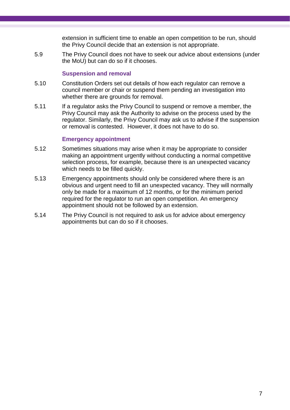extension in sufficient time to enable an open competition to be run, should the Privy Council decide that an extension is not appropriate.

5.9 The Privy Council does not have to seek our advice about extensions (under the MoU) but can do so if it chooses.

## **Suspension and removal**

- 5.10 Constitution Orders set out details of how each regulator can remove a council member or chair or suspend them pending an investigation into whether there are grounds for removal.
- 5.11 If a regulator asks the Privy Council to suspend or remove a member, the Privy Council may ask the Authority to advise on the process used by the regulator. Similarly, the Privy Council may ask us to advise if the suspension or removal is contested. However, it does not have to do so.

## **Emergency appointment**

- 5.12 Sometimes situations may arise when it may be appropriate to consider making an appointment urgently without conducting a normal competitive selection process, for example, because there is an unexpected vacancy which needs to be filled quickly.
- 5.13 Emergency appointments should only be considered where there is an obvious and urgent need to fill an unexpected vacancy. They will normally only be made for a maximum of 12 months, or for the minimum period required for the regulator to run an open competition. An emergency appointment should not be followed by an extension.
- 5.14 The Privy Council is not required to ask us for advice about emergency appointments but can do so if it chooses.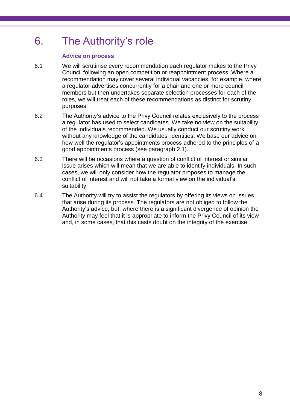## <span id="page-10-0"></span>6. The Authority's role

## **Advice on process**

- 6.1 We will scrutinise every recommendation each regulator makes to the Privy Council following an open competition or reappointment process. Where a recommendation may cover several individual vacancies, for example, where a regulator advertises concurrently for a chair and one or more council members but then undertakes separate selection processes for each of the roles, we will treat each of these recommendations as distinct for scrutiny purposes.
- 6.2 The Authority's advice to the Privy Council relates exclusively to the process a regulator has used to select candidates. We take no view on the suitability of the individuals recommended. We usually conduct our scrutiny work without any knowledge of the candidates' identities. We base our advice on how well the regulator's appointments process adhered to the principles of a good appointments process (see paragraph 2.1).
- 6.3 There will be occasions where a question of conflict of interest or similar issue arises which will mean that we are able to identify individuals. In such cases, we will only consider how the regulator proposes to manage the conflict of interest and will not take a formal view on the individual's suitability.
- 6.4 The Authority will try to assist the regulators by offering its views on issues that arise during its process. The regulators are not obliged to follow the Authority's advice, but, where there is a significant divergence of opinion the Authority may feel that it is appropriate to inform the Privy Council of its view and, in some cases, that this casts doubt on the integrity of the exercise.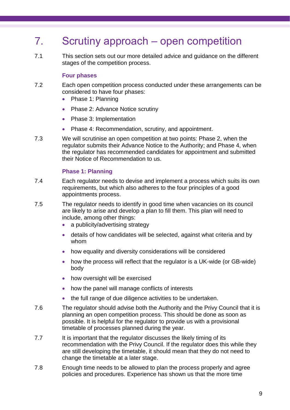## <span id="page-11-0"></span>7. Scrutiny approach – open competition

7.1 This section sets out our more detailed advice and guidance on the different stages of the competition process.

### **Four phases**

- 7.2 Each open competition process conducted under these arrangements can be considered to have four phases:
	- Phase 1: Planning
	- Phase 2: Advance Notice scrutiny
	- Phase 3: Implementation
	- Phase 4: Recommendation, scrutiny, and appointment.
- 7.3 We will scrutinise an open competition at two points: Phase 2, when the regulator submits their Advance Notice to the Authority; and Phase 4, when the regulator has recommended candidates for appointment and submitted their Notice of Recommendation to us.

## **Phase 1: Planning**

- 7.4 Each regulator needs to devise and implement a process which suits its own requirements, but which also adheres to the four principles of a good appointments process.
- 7.5 The regulator needs to identify in good time when vacancies on its council are likely to arise and develop a plan to fill them. This plan will need to include, among other things:
	- a publicity/advertising strategy
	- details of how candidates will be selected, against what criteria and by whom
	- how equality and diversity considerations will be considered
	- how the process will reflect that the regulator is a UK-wide (or GB-wide) body
	- how oversight will be exercised
	- how the panel will manage conflicts of interests
	- the full range of due diligence activities to be undertaken.
- 7.6 The regulator should advise both the Authority and the Privy Council that it is planning an open competition process. This should be done as soon as possible. It is helpful for the regulator to provide us with a provisional timetable of processes planned during the year.
- 7.7 It is important that the regulator discusses the likely timing of its recommendation with the Privy Council. If the regulator does this while they are still developing the timetable, it should mean that they do not need to change the timetable at a later stage.
- 7.8 Enough time needs to be allowed to plan the process properly and agree policies and procedures. Experience has shown us that the more time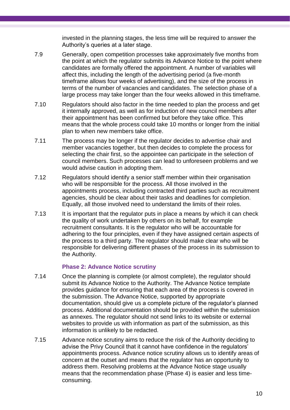invested in the planning stages, the less time will be required to answer the Authority's queries at a later stage.

- 7.9 Generally, open competition processes take approximately five months from the point at which the regulator submits its Advance Notice to the point where candidates are formally offered the appointment. A number of variables will affect this, including the length of the advertising period (a five-month timeframe allows four weeks of advertising), and the size of the process in terms of the number of vacancies and candidates. The selection phase of a large process may take longer than the four weeks allowed in this timeframe.
- 7.10 Regulators should also factor in the time needed to plan the process and get it internally approved, as well as for induction of new council members after their appointment has been confirmed but before they take office. This means that the whole process could take 10 months or longer from the initial plan to when new members take office.
- 7.11 The process may be longer if the regulator decides to advertise chair and member vacancies together, but then decides to complete the process for selecting the chair first, so the appointee can participate in the selection of council members. Such processes can lead to unforeseen problems and we would advise caution in adopting them.
- 7.12 Regulators should identify a senior staff member within their organisation who will be responsible for the process. All those involved in the appointments process, including contracted third parties such as recruitment agencies, should be clear about their tasks and deadlines for completion. Equally, all those involved need to understand the limits of their roles.
- 7.13 It is important that the regulator puts in place a means by which it can check the quality of work undertaken by others on its behalf, for example recruitment consultants. It is the regulator who will be accountable for adhering to the four principles, even if they have assigned certain aspects of the process to a third party. The regulator should make clear who will be responsible for delivering different phases of the process in its submission to the Authority.

## **Phase 2: Advance Notice scrutiny**

- 7.14 Once the planning is complete (or almost complete), the regulator should submit its Advance Notice to the Authority. The Advance Notice template provides guidance for ensuring that each area of the process is covered in the submission. The Advance Notice, supported by appropriate documentation, should give us a complete picture of the regulator's planned process. Additional documentation should be provided within the submission as annexes. The regulator should not send links to its website or external websites to provide us with information as part of the submission, as this information is unlikely to be redacted.
- 7.15 Advance notice scrutiny aims to reduce the risk of the Authority deciding to advise the Privy Council that it cannot have confidence in the regulators' appointments process. Advance notice scrutiny allows us to identify areas of concern at the outset and means that the regulator has an opportunity to address them. Resolving problems at the Advance Notice stage usually means that the recommendation phase (Phase 4) is easier and less timeconsuming.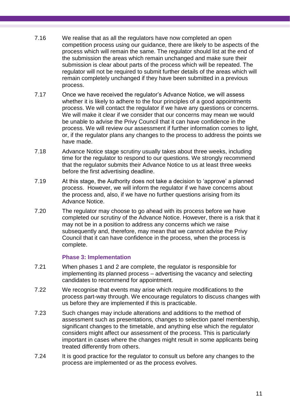- 7.16 We realise that as all the regulators have now completed an open competition process using our guidance, there are likely to be aspects of the process which will remain the same. The regulator should list at the end of the submission the areas which remain unchanged and make sure their submission is clear about parts of the process which will be repeated. The regulator will not be required to submit further details of the areas which will remain completely unchanged if they have been submitted in a previous process.
- 7.17 Once we have received the regulator's Advance Notice, we will assess whether it is likely to adhere to the four principles of a good appointments process. We will contact the regulator if we have any questions or concerns. We will make it clear if we consider that our concerns may mean we would be unable to advise the Privy Council that it can have confidence in the process. We will review our assessment if further information comes to light, or, if the regulator plans any changes to the process to address the points we have made.
- 7.18 Advance Notice stage scrutiny usually takes about three weeks, including time for the regulator to respond to our questions. We strongly recommend that the regulator submits their Advance Notice to us at least three weeks before the first advertising deadline.
- 7.19 At this stage, the Authority does not take a decision to 'approve' a planned process. However, we will inform the regulator if we have concerns about the process and, also, if we have no further questions arising from its Advance Notice.
- 7.20 The regulator may choose to go ahead with its process before we have completed our scrutiny of the Advance Notice. However, there is a risk that it may not be in a position to address any concerns which we raise subsequently and, therefore, may mean that we cannot advise the Privy Council that it can have confidence in the process, when the process is complete.

## **Phase 3: Implementation**

- 7.21 When phases 1 and 2 are complete, the regulator is responsible for implementing its planned process – advertising the vacancy and selecting candidates to recommend for appointment.
- 7.22 We recognise that events may arise which require modifications to the process part-way through. We encourage regulators to discuss changes with us before they are implemented if this is practicable.
- 7.23 Such changes may include alterations and additions to the method of assessment such as presentations, changes to selection panel membership, significant changes to the timetable, and anything else which the regulator considers might affect our assessment of the process. This is particularly important in cases where the changes might result in some applicants being treated differently from others.
- 7.24 It is good practice for the regulator to consult us before any changes to the process are implemented or as the process evolves.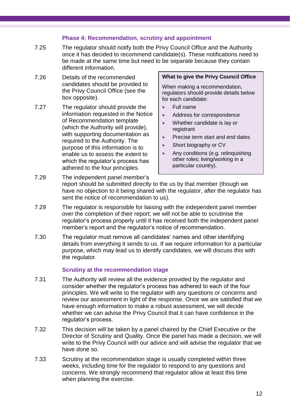## **Phase 4: Recommendation, scrutiny and appointment**

- 7.25 The regulator should notify both the Privy Council Office and the Authority once it has decided to recommend candidate(s). These notifications need to be made at the same time but need to be separate because they contain different information.
- 7.26 Details of the recommended candidates should be provided to the Privy Council Office (see the box opposite).
- 7.27 The regulator should provide the information requested in the Notice of Recommendation template (which the Authority will provide), with supporting documentation as required to the Authority. The purpose of this information is to enable us to assess the extent to which the regulator's process has adhered to the four principles.

#### **What to give the Privy Council Office**

When making a recommendation, regulators should provide details below for each candidate:

- Full name
- Address for correspondence
- Whether candidate is lay or registrant
- Precise term start and end dates
- Short biography or CV
- Any conditions (e.g. relinquishing other roles; living/working in a particular country).
- 7.28 The independent panel member's report should be submitted directly to the us by that member (though we have no objection to it being shared with the regulator, after the regulator has sent the notice of recommendation to us).
- 7.29 The regulator is responsible for liaising with the independent panel member over the completion of their report; we will not be able to scrutinise the regulator's process properly until it has received both the independent panel member's report and the regulator's notice of recommendation.
- 7.30 The regulator must remove all candidates' names and other identifying details from everything it sends to us. If we require information for a particular purpose, which may lead us to identify candidates, we will discuss this with the regulator.

## **Scrutiny at the recommendation stage**

- 7.31 The Authority will review all the evidence provided by the regulator and consider whether the regulator's process has adhered to each of the four principles. We will write to the regulator with any questions or concerns and review our assessment in light of the response. Once we are satisfied that we have enough information to make a robust assessment, we will decide whether we can advise the Privy Council that it can have confidence in the regulator's process.
- 7.32 This decision will be taken by a panel chaired by the Chief Executive or the Director of Scrutiny and Quality. Once the panel has made a decision, we will write to the Privy Council with our advice and will advise the regulator that we have done so.
- 7.33 Scrutiny at the recommendation stage is usually completed within three weeks, including time for the regulator to respond to any questions and concerns. We strongly recommend that regulator allow at least this time when planning the exercise.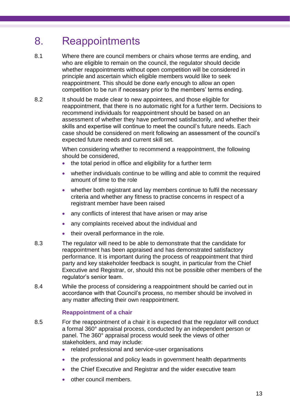## <span id="page-15-0"></span>8. Reappointments

- 8.1 Where there are council members or chairs whose terms are ending, and who are eligible to remain on the council, the regulator should decide whether reappointments without open competition will be considered in principle and ascertain which eligible members would like to seek reappointment. This should be done early enough to allow an open competition to be run if necessary prior to the members' terms ending.
- 8.2 It should be made clear to new appointees, and those eligible for reappointment, that there is no automatic right for a further term. Decisions to recommend individuals for reappointment should be based on an assessment of whether they have performed satisfactorily, and whether their skills and expertise will continue to meet the council's future needs. Each case should be considered on merit following an assessment of the council's expected future needs and current skill set.

When considering whether to recommend a reappointment, the following should be considered,

- the total period in office and eligibility for a further term
- whether individuals continue to be willing and able to commit the required amount of time to the role
- whether both registrant and lay members continue to fulfil the necessary criteria and whether any fitness to practise concerns in respect of a registrant member have been raised
- any conflicts of interest that have arisen or may arise
- any complaints received about the individual and
- their overall performance in the role.
- 8.3 The regulator will need to be able to demonstrate that the candidate for reappointment has been appraised and has demonstrated satisfactory performance. It is important during the process of reappointment that third party and key stakeholder feedback is sought, in particular from the Chief Executive and Registrar, or, should this not be possible other members of the regulator's senior team.
- 8.4 While the process of considering a reappointment should be carried out in accordance with that Council's process, no member should be involved in any matter affecting their own reappointment.

## **Reappointment of a chair**

- 8.5 For the reappointment of a chair it is expected that the regulator will conduct a formal 360° appraisal process, conducted by an independent person or panel. The 360° appraisal process would seek the views of other stakeholders, and may include:
	- related professional and service-user organisations
	- the professional and policy leads in government health departments
	- the Chief Executive and Registrar and the wider executive team
	- other council members.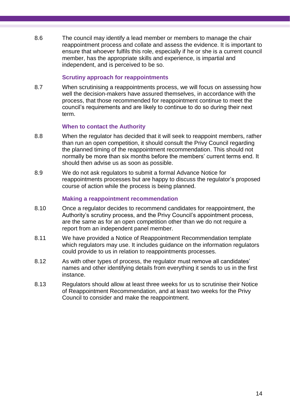8.6 The council may identify a lead member or members to manage the chair reappointment process and collate and assess the evidence. It is important to ensure that whoever fulfils this role, especially if he or she is a current council member, has the appropriate skills and experience, is impartial and independent, and is perceived to be so.

### **Scrutiny approach for reappointments**

8.7 When scrutinising a reappointments process, we will focus on assessing how well the decision-makers have assured themselves, in accordance with the process, that those recommended for reappointment continue to meet the council's requirements and are likely to continue to do so during their next term.

### **When to contact the Authority**

- 8.8 When the regulator has decided that it will seek to reappoint members, rather than run an open competition, it should consult the Privy Council regarding the planned timing of the reappointment recommendation. This should not normally be more than six months before the members' current terms end. It should then advise us as soon as possible.
- 8.9 We do not ask regulators to submit a formal Advance Notice for reappointments processes but are happy to discuss the regulator's proposed course of action while the process is being planned.

### **Making a reappointment recommendation**

- 8.10 Once a regulator decides to recommend candidates for reappointment, the Authority's scrutiny process, and the Privy Council's appointment process, are the same as for an open competition other than we do not require a report from an independent panel member.
- 8.11 We have provided a Notice of Reappointment Recommendation template which regulators may use. It includes guidance on the information regulators could provide to us in relation to reappointments processes.
- 8.12 As with other types of process, the regulator must remove all candidates' names and other identifying details from everything it sends to us in the first instance.
- 8.13 Regulators should allow at least three weeks for us to scrutinise their Notice of Reappointment Recommendation, and at least two weeks for the Privy Council to consider and make the reappointment.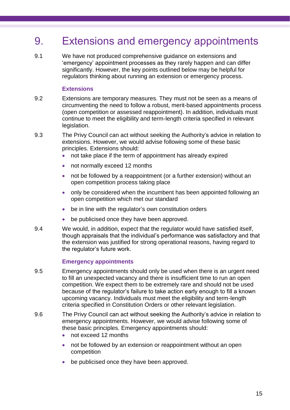## <span id="page-17-0"></span>9. Extensions and emergency appointments

9.1 We have not produced comprehensive guidance on extensions and 'emergency' appointment processes as they rarely happen and can differ significantly. However, the key points outlined below may be helpful for regulators thinking about running an extension or emergency process.

## **Extensions**

- 9.2 Extensions are temporary measures. They must not be seen as a means of circumventing the need to follow a robust, merit-based appointments process (open competition or assessed reappointment). In addition, individuals must continue to meet the eligibility and term-length criteria specified in relevant legislation.
- 9.3 The Privy Council can act without seeking the Authority's advice in relation to extensions. However, we would advise following some of these basic principles. Extensions should:
	- not take place if the term of appointment has already expired
	- not normally exceed 12 months
	- not be followed by a reappointment (or a further extension) without an open competition process taking place
	- only be considered when the incumbent has been appointed following an open competition which met our standard
	- be in line with the regulator's own constitution orders
	- be publicised once they have been approved.
- 9.4 We would, in addition, expect that the regulator would have satisfied itself, though appraisals that the individual's performance was satisfactory and that the extension was justified for strong operational reasons, having regard to the regulator's future work.

## **Emergency appointments**

- 9.5 Emergency appointments should only be used when there is an urgent need to fill an unexpected vacancy and there is insufficient time to run an open competition. We expect them to be extremely rare and should not be used because of the regulator's failure to take action early enough to fill a known upcoming vacancy. Individuals must meet the eligibility and term-length criteria specified in Constitution Orders or other relevant legislation.
- 9.6 The Privy Council can act without seeking the Authority's advice in relation to emergency appointments. However, we would advise following some of these basic principles. Emergency appointments should:
	- not exceed 12 months
	- not be followed by an extension or reappointment without an open competition
	- be publicised once they have been approved.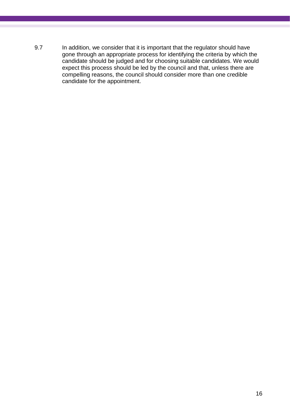9.7 In addition, we consider that it is important that the regulator should have gone through an appropriate process for identifying the criteria by which the candidate should be judged and for choosing suitable candidates. We would expect this process should be led by the council and that, unless there are compelling reasons, the council should consider more than one credible candidate for the appointment.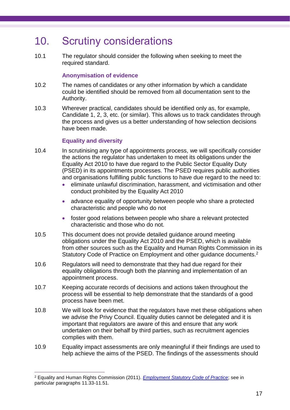## <span id="page-19-0"></span>10. Scrutiny considerations

10.1 The regulator should consider the following when seeking to meet the required standard.

## **Anonymisation of evidence**

- 10.2 The names of candidates or any other information by which a candidate could be identified should be removed from all documentation sent to the Authority.
- 10.3 Wherever practical, candidates should be identified only as, for example, Candidate 1, 2, 3, etc. (or similar). This allows us to track candidates through the process and gives us a better understanding of how selection decisions have been made.

## **Equality and diversity**

 $\overline{a}$ 

- 10.4 In scrutinising any type of appointments process, we will specifically consider the actions the regulator has undertaken to meet its obligations under the Equality Act 2010 to have due regard to the Public Sector Equality Duty (PSED) in its appointments processes. The PSED requires public authorities and organisations fulfilling public functions to have due regard to the need to:
	- eliminate unlawful discrimination, harassment, and victimisation and other conduct prohibited by the Equality Act 2010
	- advance equality of opportunity between people who share a protected characteristic and people who do not
	- foster good relations between people who share a relevant protected characteristic and those who do not.
- 10.5 This document does not provide detailed guidance around meeting obligations under the Equality Act 2010 and the PSED, which is available from other sources such as the Equality and Human Rights Commission in its Statutory Code of Practice on Employment and other guidance documents.<sup>2</sup>
- 10.6 Regulators will need to demonstrate that they had due regard for their equality obligations through both the planning and implementation of an appointment process.
- 10.7 Keeping accurate records of decisions and actions taken throughout the process will be essential to help demonstrate that the standards of a good process have been met.
- 10.8 We will look for evidence that the regulators have met these obligations when we advise the Privy Council. Equality duties cannot be delegated and it is important that regulators are aware of this and ensure that any work undertaken on their behalf by third parties, such as recruitment agencies complies with them.
- 10.9 Equality impact assessments are only meaningful if their findings are used to help achieve the aims of the PSED. The findings of the assessments should

<sup>2</sup> Equality and Human Rights Commission (2011). *[Employment Statutory Code of Practice](http://www.equalityhumanrights.com/uploaded_files/EqualityAct/employercode.pdf)*; see in particular paragraphs 11.33-11.51.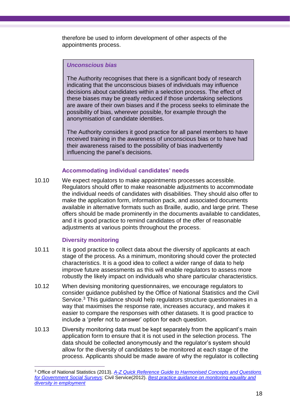therefore be used to inform development of other aspects of the appointments process.

## *Unconscious bias*

The Authority recognises that there is a significant body of research indicating that the unconscious biases of individuals may influence decisions about candidates within a selection process. The effect of these biases may be greatly reduced if those undertaking selections are aware of their own biases and if the process seeks to eliminate the possibility of bias, wherever possible, for example through the anonymisation of candidate identities.

The Authority considers it good practice for all panel members to have received training in the awareness of unconscious bias or to have had their awareness raised to the possibility of bias inadvertently influencing the panel's decisions.

## **Accommodating individual candidates' needs**

10.10 We expect regulators to make appointments processes accessible. Regulators should offer to make reasonable adjustments to accommodate the individual needs of candidates with disabilities. They should also offer to make the application form, information pack, and associated documents available in alternative formats such as Braille, audio, and large print. These offers should be made prominently in the documents available to candidates, and it is good practice to remind candidates of the offer of reasonable adjustments at various points throughout the process.

## **Diversity monitoring**

 $\overline{a}$ 

- 10.11 It is good practice to collect data about the diversity of applicants at each stage of the process. As a minimum, monitoring should cover the protected characteristics. It is a good idea to collect a wider range of data to help improve future assessments as this will enable regulators to assess more robustly the likely impact on individuals who share particular characteristics.
- 10.12 When devising monitoring questionnaires, we encourage regulators to consider guidance published by the Office of National Statistics and the Civil Service.<sup>3</sup> This guidance should help regulators structure questionnaires in a way that maximises the response rate, increases accuracy, and makes it easier to compare the responses with other datasets. It is good practice to include a 'prefer not to answer' option for each question.
- 10.13 Diversity monitoring data must be kept separately from the applicant's main application form to ensure that it is not used in the selection process. The data should be collected anonymously and the regulator's system should allow for the diversity of candidates to be monitored at each stage of the process. Applicants should be made aware of why the regulator is collecting

<sup>3</sup> Office of National Statistics (2013). *[A-Z Quick Reference Guide to Harmonised Concepts and Questions](http://www.ons.gov.uk/ons/guide-method/harmonisation/harmonisation-programme/a-z-of-harmonised-principles.pdf)  [for Government Social Surveys](http://www.ons.gov.uk/ons/guide-method/harmonisation/harmonisation-programme/a-z-of-harmonised-principles.pdf)*; Civil Service(2012). *[Best practice guidance on monitoring equality and](http://resources.civilservice.gov.uk/wp-content/uploads/2012/03/Equalities-Monitoring-Guidance-final.pdf)  [diversity in employment](http://resources.civilservice.gov.uk/wp-content/uploads/2012/03/Equalities-Monitoring-Guidance-final.pdf)*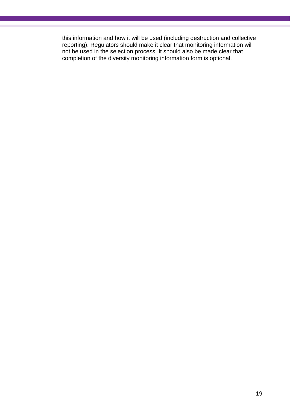this information and how it will be used (including destruction and collective reporting). Regulators should make it clear that monitoring information will not be used in the selection process. It should also be made clear that completion of the diversity monitoring information form is optional.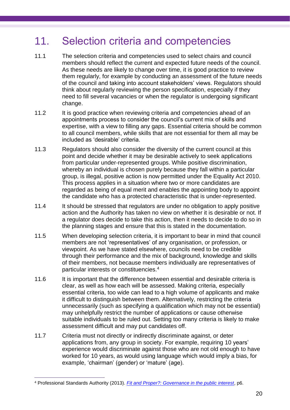## <span id="page-22-0"></span>11. Selection criteria and competencies

- 11.1 The selection criteria and competencies used to select chairs and council members should reflect the current and expected future needs of the council. As these needs are likely to change over time, it is good practice to review them regularly, for example by conducting an assessment of the future needs of the council and taking into account stakeholders' views. Regulators should think about regularly reviewing the person specification, especially if they need to fill several vacancies or when the regulator is undergoing significant change.
- 11.2 It is good practice when reviewing criteria and competencies ahead of an appointments process to consider the council's current mix of skills and expertise, with a view to filling any gaps. Essential criteria should be common to all council members, while skills that are not essential for them all may be included as 'desirable' criteria.
- 11.3 Regulators should also consider the diversity of the current council at this point and decide whether it may be desirable actively to seek applications from particular under-represented groups. While positive discrimination, whereby an individual is chosen purely because they fall within a particular group, is illegal, positive action is now permitted under the Equality Act 2010. This process applies in a situation where two or more candidates are regarded as being of equal merit and enables the appointing body to appoint the candidate who has a protected characteristic that is under-represented.
- 11.4 It should be stressed that regulators are under no obligation to apply positive action and the Authority has taken no view on whether it is desirable or not. If a regulator does decide to take this action, then it needs to decide to do so in the planning stages and ensure that this is stated in the documentation.
- 11.5 When developing selection criteria, it is important to bear in mind that council members are not 'representatives' of any organisation, or profession, or viewpoint. As we have stated elsewhere, councils need to be credible through their performance and the mix of background, knowledge and skills of their members, not because members individually are representatives of particular interests or constituencies.<sup>4</sup>
- 11.6 It is important that the difference between essential and desirable criteria is clear, as well as how each will be assessed. Making criteria, especially essential criteria, too wide can lead to a high volume of applicants and make it difficult to distinguish between them. Alternatively, restricting the criteria unnecessarily (such as specifying a qualification which may not be essential) may unhelpfully restrict the number of applications or cause otherwise suitable individuals to be ruled out. Setting too many criteria is likely to make assessment difficult and may put candidates off.
- 11.7 Criteria must not directly or indirectly discriminate against, or deter applications from, any group in society. For example, requiring 10 years' experience would discriminate against those who are not old enough to have worked for 10 years, as would using language which would imply a bias, for example, 'chairman' (gender) or 'mature' (age).

 $\overline{a}$ 

<sup>4</sup> Professional Standards Authority (2013). *[Fit and Proper?: Governance in the public interest](http://www.professionalstandards.org.uk/docs/scrutiny-quality/130307-fit-and-proper-governance-in-the-public-interest.pdf?sfvrsn=0)*, p6.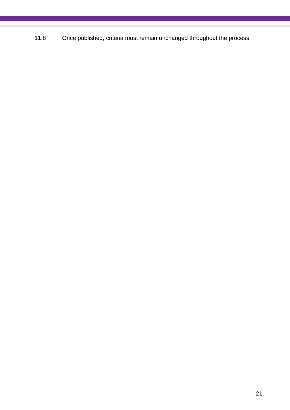11.8 Once published, criteria must remain unchanged throughout the process.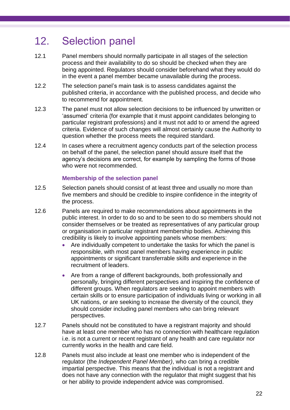## <span id="page-24-0"></span>12. Selection panel

- 12.1 Panel members should normally participate in all stages of the selection process and their availability to do so should be checked when they are being appointed. Regulators should consider beforehand what they would do in the event a panel member became unavailable during the process.
- 12.2 The selection panel's main task is to assess candidates against the published criteria, in accordance with the published process, and decide who to recommend for appointment.
- 12.3 The panel must not allow selection decisions to be influenced by unwritten or 'assumed' criteria (for example that it must appoint candidates belonging to particular registrant professions) and it must not add to or amend the agreed criteria. Evidence of such changes will almost certainly cause the Authority to question whether the process meets the required standard.
- 12.4 In cases where a recruitment agency conducts part of the selection process on behalf of the panel, the selection panel should assure itself that the agency's decisions are correct, for example by sampling the forms of those who were not recommended.

## **Membership of the selection panel**

- 12.5 Selection panels should consist of at least three and usually no more than five members and should be credible to inspire confidence in the integrity of the process.
- 12.6 Panels are required to make recommendations about appointments in the public interest. In order to do so and to be seen to do so members should not consider themselves or be treated as representatives of any particular group or organisation in particular registrant membership bodies. Achieving this credibility is likely to involve appointing panels whose members:
	- Are individually competent to undertake the tasks for which the panel is responsible, with most panel members having experience in public appointments or significant transferrable skills and experience in the recruitment of leaders.
	- Are from a range of different backgrounds, both professionally and personally, bringing different perspectives and inspiring the confidence of different groups. When regulators are seeking to appoint members with certain skills or to ensure participation of individuals living or working in all UK nations, or are seeking to increase the diversity of the council, they should consider including panel members who can bring relevant perspectives.
- 12.7 Panels should not be constituted to have a registrant majority and should have at least one member who has no connection with healthcare regulation i.e. is not a current or recent registrant of any health and care regulator nor currently works in the health and care field.
- 12.8 Panels must also include at least one member who is independent of the regulator (the *Independent Panel Member)*, who can bring a credible impartial perspective. This means that the individual is not a registrant and does not have any connection with the regulator that might suggest that his or her ability to provide independent advice was compromised.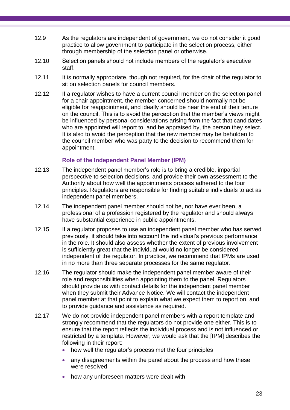- 12.9 As the regulators are independent of government, we do not consider it good practice to allow government to participate in the selection process, either through membership of the selection panel or otherwise.
- 12.10 Selection panels should not include members of the regulator's executive staff.
- 12.11 It is normally appropriate, though not required, for the chair of the regulator to sit on selection panels for council members.
- 12.12 If a regulator wishes to have a current council member on the selection panel for a chair appointment, the member concerned should normally not be eligible for reappointment, and ideally should be near the end of their tenure on the council. This is to avoid the perception that the member's views might be influenced by personal considerations arising from the fact that candidates who are appointed will report to, and be appraised by, the person they select. It is also to avoid the perception that the new member may be beholden to the council member who was party to the decision to recommend them for appointment.

## **Role of the Independent Panel Member (IPM)**

- 12.13 The independent panel member's role is to bring a credible, impartial perspective to selection decisions, and provide their own assessment to the Authority about how well the appointments process adhered to the four principles. Regulators are responsible for finding suitable individuals to act as independent panel members.
- 12.14 The independent panel member should not be, nor have ever been, a professional of a profession registered by the regulator and should always have substantial experience in public appointments.
- 12.15 If a regulator proposes to use an independent panel member who has served previously, it should take into account the individual's previous performance in the role. It should also assess whether the extent of previous involvement is sufficiently great that the individual would no longer be considered independent of the regulator. In practice, we recommend that IPMs are used in no more than three separate processes for the same regulator.
- 12.16 The regulator should make the independent panel member aware of their role and responsibilities when appointing them to the panel. Regulators should provide us with contact details for the independent panel member when they submit their Advance Notice. We will contact the independent panel member at that point to explain what we expect them to report on, and to provide guidance and assistance as required.
- 12.17 We do not provide independent panel members with a report template and strongly recommend that the regulators do not provide one either. This is to ensure that the report reflects the individual process and is not influenced or restricted by a template. However, we would ask that the [IPM] describes the following in their report:
	- how well the regulator's process met the four principles
	- any disagreements within the panel about the process and how these were resolved
	- how any unforeseen matters were dealt with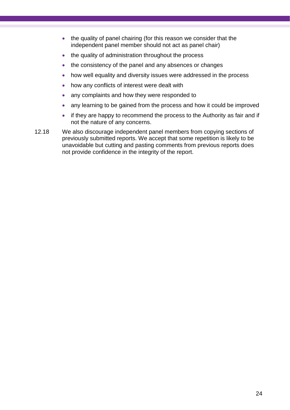- the quality of panel chairing (for this reason we consider that the independent panel member should not act as panel chair)
- the quality of administration throughout the process
- the consistency of the panel and any absences or changes
- how well equality and diversity issues were addressed in the process
- how any conflicts of interest were dealt with
- any complaints and how they were responded to
- any learning to be gained from the process and how it could be improved
- if they are happy to recommend the process to the Authority as fair and if not the nature of any concerns.
- 12.18 We also discourage independent panel members from copying sections of previously submitted reports. We accept that some repetition is likely to be unavoidable but cutting and pasting comments from previous reports does not provide confidence in the integrity of the report.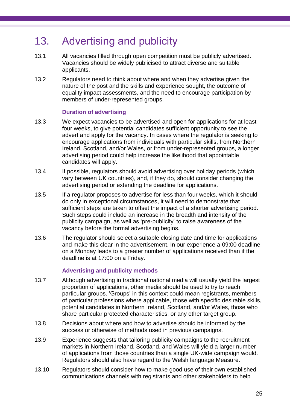## <span id="page-27-0"></span>13. Advertising and publicity

- 13.1 All vacancies filled through open competition must be publicly advertised. Vacancies should be widely publicised to attract diverse and suitable applicants.
- 13.2 Regulators need to think about where and when they advertise given the nature of the post and the skills and experience sought, the outcome of equality impact assessments, and the need to encourage participation by members of under-represented groups.

## **Duration of advertising**

- 13.3 We expect vacancies to be advertised and open for applications for at least four weeks, to give potential candidates sufficient opportunity to see the advert and apply for the vacancy. In cases where the regulator is seeking to encourage applications from individuals with particular skills, from Northern Ireland, Scotland, and/or Wales, or from under-represented groups, a longer advertising period could help increase the likelihood that appointable candidates will apply.
- 13.4 If possible, regulators should avoid advertising over holiday periods (which vary between UK countries), and, if they do, should consider changing the advertising period or extending the deadline for applications.
- 13.5 If a regulator proposes to advertise for less than four weeks, which it should do only in exceptional circumstances, it will need to demonstrate that sufficient steps are taken to offset the impact of a shorter advertising period. Such steps could include an increase in the breadth and intensity of the publicity campaign, as well as 'pre-publicity' to raise awareness of the vacancy before the formal advertising begins.
- 13.6 The regulator should select a suitable closing date and time for applications and make this clear in the advertisement. In our experience a 09:00 deadline on a Monday leads to a greater number of applications received than if the deadline is at 17:00 on a Friday.

## **Advertising and publicity methods**

- 13.7 Although advertising in traditional national media will usually yield the largest proportion of applications, other media should be used to try to reach particular groups. 'Groups' in this context could mean registrants, members of particular professions where applicable, those with specific desirable skills, potential candidates in Northern Ireland, Scotland, and/or Wales, those who share particular protected characteristics, or any other target group.
- 13.8 Decisions about where and how to advertise should be informed by the success or otherwise of methods used in previous campaigns.
- 13.9 Experience suggests that tailoring publicity campaigns to the recruitment markets in Northern Ireland, Scotland, and Wales will yield a larger number of applications from those countries than a single UK-wide campaign would. Regulators should also have regard to the Welsh language Measure.
- 13.10 Regulators should consider how to make good use of their own established communications channels with registrants and other stakeholders to help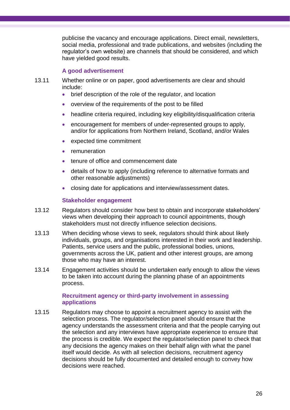publicise the vacancy and encourage applications. Direct email, newsletters, social media, professional and trade publications, and websites (including the regulator's own website) are channels that should be considered, and which have yielded good results.

## **A good advertisement**

- 13.11 Whether online or on paper, good advertisements are clear and should include:
	- brief description of the role of the regulator, and location
	- overview of the requirements of the post to be filled
	- headline criteria required, including key eligibility/disqualification criteria
	- encouragement for members of under-represented groups to apply, and/or for applications from Northern Ireland, Scotland, and/or Wales
	- expected time commitment
	- **remuneration**
	- tenure of office and commencement date
	- details of how to apply (including reference to alternative formats and other reasonable adjustments)
	- closing date for applications and interview/assessment dates.

## **Stakeholder engagement**

- 13.12 Regulators should consider how best to obtain and incorporate stakeholders' views when developing their approach to council appointments, though stakeholders must not directly influence selection decisions.
- 13.13 When deciding whose views to seek, regulators should think about likely individuals, groups, and organisations interested in their work and leadership. Patients, service users and the public, professional bodies, unions, governments across the UK, patient and other interest groups, are among those who may have an interest.
- 13.14 Engagement activities should be undertaken early enough to allow the views to be taken into account during the planning phase of an appointments process.

## **Recruitment agency or third-party involvement in assessing applications**

13.15 Regulators may choose to appoint a recruitment agency to assist with the selection process. The regulator/selection panel should ensure that the agency understands the assessment criteria and that the people carrying out the selection and any interviews have appropriate experience to ensure that the process is credible. We expect the regulator/selection panel to check that any decisions the agency makes on their behalf align with what the panel itself would decide. As with all selection decisions, recruitment agency decisions should be fully documented and detailed enough to convey how decisions were reached.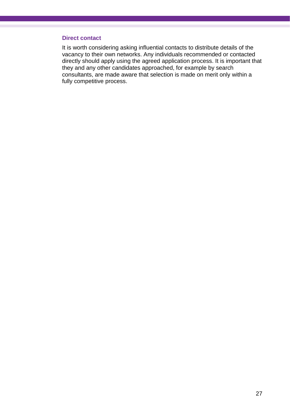#### **Direct contact**

It is worth considering asking influential contacts to distribute details of the vacancy to their own networks. Any individuals recommended or contacted directly should apply using the agreed application process. It is important that they and any other candidates approached, for example by search consultants, are made aware that selection is made on merit only within a fully competitive process.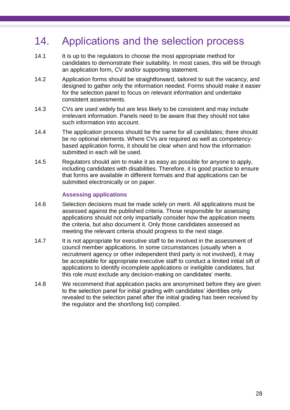## <span id="page-30-0"></span>14. Applications and the selection process

- 14.1 It is up to the regulators to choose the most appropriate method for candidates to demonstrate their suitability. In most cases, this will be through an application form, CV and/or supporting statement.
- 14.2 Application forms should be straightforward, tailored to suit the vacancy, and designed to gather only the information needed. Forms should make it easier for the selection panel to focus on relevant information and undertake consistent assessments.
- 14.3 CVs are used widely but are less likely to be consistent and may include irrelevant information. Panels need to be aware that they should not take such information into account.
- 14.4 The application process should be the same for all candidates; there should be no optional elements. Where CVs are required as well as competencybased application forms, it should be clear when and how the information submitted in each will be used.
- 14.5 Regulators should aim to make it as easy as possible for anyone to apply, including candidates with disabilities. Therefore, it is good practice to ensure that forms are available in different formats and that applications can be submitted electronically or on paper.

## **Assessing applications**

- 14.6 Selection decisions must be made solely on merit. All applications must be assessed against the published criteria. Those responsible for assessing applications should not only impartially consider how the application meets the criteria, but also document it. Only those candidates assessed as meeting the relevant criteria should progress to the next stage.
- 14.7 It is not appropriate for executive staff to be involved in the assessment of council member applications. In some circumstances (usually when a recruitment agency or other independent third party is not involved), it may be acceptable for appropriate executive staff to conduct a limited initial sift of applications to identify incomplete applications or ineligible candidates, but this role must exclude any decision-making on candidates' merits.
- 14.8 We recommend that application packs are anonymised before they are given to the selection panel for initial grading with candidates' identities only revealed to the selection panel after the initial grading has been received by the regulator and the short/long list) compiled.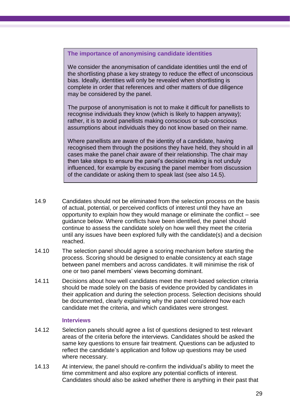## **The importance of anonymising candidate identities**

We consider the anonymisation of candidate identities until the end of the shortlisting phase a key strategy to reduce the effect of unconscious bias. Ideally, identities will only be revealed when shortlisting is complete in order that references and other matters of due diligence may be considered by the panel.

The purpose of anonymisation is not to make it difficult for panellists to recognise individuals they know (which is likely to happen anyway); rather, it is to avoid panellists making conscious or sub-conscious assumptions about individuals they do not know based on their name.

Where panellists are aware of the identity of a candidate, having recognised them through the positions they have held, they should in all cases make the panel chair aware of their relationship. The chair may then take steps to ensure the panel's decision making is not unduly influenced, for example by excusing the panel member from discussion of the candidate or asking them to speak last (see also 14.5).

- 14.9 Candidates should not be eliminated from the selection process on the basis of actual, potential, or perceived conflicts of interest until they have an opportunity to explain how they would manage or eliminate the conflict – see guidance below. Where conflicts have been identified, the panel should continue to assess the candidate solely on how well they meet the criteria until any issues have been explored fully with the candidate(s) and a decision reached.
- 14.10 The selection panel should agree a scoring mechanism before starting the process. Scoring should be designed to enable consistency at each stage between panel members and across candidates. It will minimise the risk of one or two panel members' views becoming dominant.
- 14.11 Decisions about how well candidates meet the merit-based selection criteria should be made solely on the basis of evidence provided by candidates in their application and during the selection process. Selection decisions should be documented, clearly explaining why the panel considered how each candidate met the criteria, and which candidates were strongest.

#### **Interviews**

- 14.12 Selection panels should agree a list of questions designed to test relevant areas of the criteria before the interviews. Candidates should be asked the same key questions to ensure fair treatment. Questions can be adjusted to reflect the candidate's application and follow up questions may be used where necessary.
- 14.13 At interview, the panel should re-confirm the individual's ability to meet the time commitment and also explore any potential conflicts of interest. Candidates should also be asked whether there is anything in their past that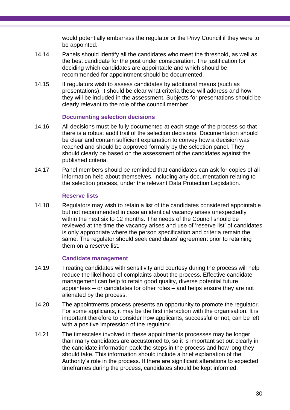would potentially embarrass the regulator or the Privy Council if they were to be appointed.

- 14.14 Panels should identify all the candidates who meet the threshold, as well as the best candidate for the post under consideration. The justification for deciding which candidates are appointable and which should be recommended for appointment should be documented.
- 14.15 If regulators wish to assess candidates by additional means (such as presentations), it should be clear what criteria these will address and how they will be included in the assessment. Subjects for presentations should be clearly relevant to the role of the council member.

## **Documenting selection decisions**

- 14.16 All decisions must be fully documented at each stage of the process so that there is a robust audit trail of the selection decisions. Documentation should be clear and contain sufficient explanation to convey how a decision was reached and should be approved formally by the selection panel. They should clearly be based on the assessment of the candidates against the published criteria.
- 14.17 Panel members should be reminded that candidates can ask for copies of all information held about themselves, including any documentation relating to the selection process, under the relevant Data Protection Legislation.

### **Reserve lists**

14.18 Regulators may wish to retain a list of the candidates considered appointable but not recommended in case an identical vacancy arises unexpectedly within the next six to 12 months. The needs of the Council should be reviewed at the time the vacancy arises and use of 'reserve list' of candidates is only appropriate where the person specification and criteria remain the same. The regulator should seek candidates' agreement prior to retaining them on a reserve list.

## **Candidate management**

- 14.19 Treating candidates with sensitivity and courtesy during the process will help reduce the likelihood of complaints about the process. Effective candidate management can help to retain good quality, diverse potential future appointees – or candidates for other roles – and helps ensure they are not alienated by the process.
- 14.20 The appointments process presents an opportunity to promote the regulator. For some applicants, it may be the first interaction with the organisation. It is important therefore to consider how applicants, successful or not, can be left with a positive impression of the regulator.
- 14.21 The timescales involved in these appointments processes may be longer than many candidates are accustomed to, so it is important set out clearly in the candidate information pack the steps in the process and how long they should take. This information should include a brief explanation of the Authority's role in the process. If there are significant alterations to expected timeframes during the process, candidates should be kept informed.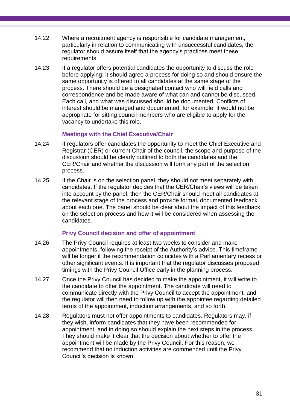- 14.22 Where a recruitment agency is responsible for candidate management, particularly in relation to communicating with unsuccessful candidates, the regulator should assure itself that the agency's practices meet these requirements.
- 14.23 If a regulator offers potential candidates the opportunity to discuss the role before applying, it should agree a process for doing so and should ensure the same opportunity is offered to all candidates at the same stage of the process. There should be a designated contact who will field calls and correspondence and be made aware of what can and cannot be discussed. Each call, and what was discussed should be documented. Conflicts of interest should be managed and documented; for example, it would not be appropriate for sitting council members who are eligible to apply for the vacancy to undertake this role.

## **Meetings with the Chief Executive/Chair**

- 14.24 If regulators offer candidates the opportunity to meet the Chief Executive and Registrar (CER) or current Chair of the council, the scope and purpose of the discussion should be clearly outlined to both the candidates and the CER/Chair and whether the discussion will form any part of the selection process.
- 14.25 If the Chair is on the selection panel, they should not meet separately with candidates. If the regulator decides that the CER/Chair's views will be taken into account by the panel, then the CER/Chair should meet all candidates at the relevant stage of the process and provide formal, documented feedback about each one. The panel should be clear about the impact of this feedback on the selection process and how it will be considered when assessing the candidates.

## **Privy Council decision and offer of appointment**

- 14.26 The Privy Council requires at least two weeks to consider and make appointments, following the receipt of the Authority's advice. This timeframe will be longer if the recommendation coincides with a Parliamentary recess or other significant events. It is important that the regulator discusses proposed timings with the Privy Council Office early in the planning process.
- 14.27 Once the Privy Council has decided to make the appointment, it will write to the candidate to offer the appointment. The candidate will need to communicate directly with the Privy Council to accept the appointment, and the regulator will then need to follow up with the appointee regarding detailed terms of the appointment, induction arrangements, and so forth.
- 14.28 Regulators must not offer appointments to candidates. Regulators may, if they wish, inform candidates that they have been recommended for appointment, and in doing so should explain the next steps in the process. They should make it clear that the decision about whether to offer the appointment will be made by the Privy Council. For this reason, we recommend that no induction activities are commenced until the Privy Council's decision is known.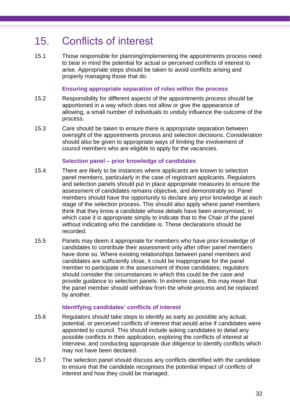## <span id="page-34-0"></span>15. Conflicts of interest

15.1 Those responsible for planning/implementing the appointments process need to bear in mind the potential for actual or perceived conflicts of interest to arise. Appropriate steps should be taken to avoid conflicts arising and properly managing those that do.

### **Ensuring appropriate separation of roles within the process**

- 15.2 Responsibility for different aspects of the appointments process should be apportioned in a way which does not allow or give the appearance of allowing, a small number of individuals to unduly influence the outcome of the process.
- 15.3 Care should be taken to ensure there is appropriate separation between oversight of the appointments process and selection decisions. Consideration should also be given to appropriate ways of limiting the involvement of council members who are eligible to apply for the vacancies.

#### **Selection panel – prior knowledge of candidates**

- 15.4 There are likely to be instances where applicants are known to selection panel members, particularly in the case of registrant applicants. Regulators and selection panels should put in place appropriate measures to ensure the assessment of candidates remains objective, and demonstrably so. Panel members should have the opportunity to declare any prior knowledge at each stage of the selection process. This should also apply where panel members think that they know a candidate whose details have been anonymised, in which case it is appropriate simply to indicate that to the Chair of the panel without indicating who the candidate is. These declarations should be recorded.
- 15.5 Panels may deem it appropriate for members who have prior knowledge of candidates to contribute their assessment only after other panel members have done so. Where existing relationships between panel members and candidates are sufficiently close, it could be inappropriate for the panel member to participate in the assessment of those candidates; regulators should consider the circumstances in which this could be the case and provide guidance to selection panels. In extreme cases, this may mean that the panel member should withdraw from the whole process and be replaced by another.

## **Identifying candidates' conflicts of interest**

- 15.6 Regulators should take steps to identify as early as possible any actual, potential, or perceived conflicts of interest that would arise if candidates were appointed to council. This should include asking candidates to detail any possible conflicts in their application, exploring the conflicts of interest at interview, and conducting appropriate due diligence to identify conflicts which may not have been declared.
- 15.7 The selection panel should discuss any conflicts identified with the candidate to ensure that the candidate recognises the potential impact of conflicts of interest and how they could be managed.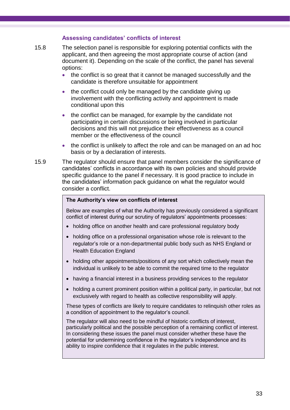## **Assessing candidates' conflicts of interest**

- 15.8 The selection panel is responsible for exploring potential conflicts with the applicant, and then agreeing the most appropriate course of action (and document it). Depending on the scale of the conflict, the panel has several options:
	- the conflict is so great that it cannot be managed successfully and the candidate is therefore unsuitable for appointment
	- the conflict could only be managed by the candidate giving up involvement with the conflicting activity and appointment is made conditional upon this
	- the conflict can be managed, for example by the candidate not participating in certain discussions or being involved in particular decisions and this will not prejudice their effectiveness as a council member or the effectiveness of the council
	- the conflict is unlikely to affect the role and can be managed on an ad hoc basis or by a declaration of interests.
- 15.9 The regulator should ensure that panel members consider the significance of candidates' conflicts in accordance with its own policies and should provide specific guidance to the panel if necessary. It is good practice to include in the candidates' information pack guidance on what the regulator would consider a conflict.

#### **The Authority's view on conflicts of interest**

Below are examples of what the Authority has previously considered a significant conflict of interest during our scrutiny of regulators' appointments processes:

- holding office on another health and care professional regulatory body
- holding office on a professional organisation whose role is relevant to the regulator's role or a non-departmental public body such as NHS England or Health Education England
- holding other appointments/positions of any sort which collectively mean the individual is unlikely to be able to commit the required time to the regulator
- having a financial interest in a business providing services to the regulator
- holding a current prominent position within a political party, in particular, but not exclusively with regard to health as collective responsibility will apply.

These types of conflicts are likely to require candidates to relinquish other roles as a condition of appointment to the regulator's council.

The regulator will also need to be mindful of historic conflicts of interest, particularly political and the possible perception of a remaining conflict of interest. In considering these issues the panel must consider whether these have the potential for undermining confidence in the regulator's independence and its ability to inspire confidence that it regulates in the public interest.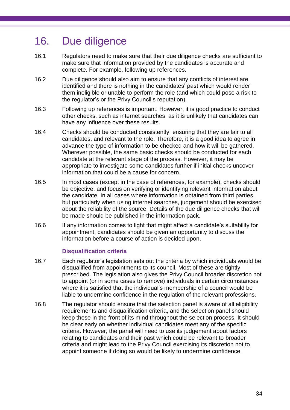## <span id="page-36-0"></span>16. Due diligence

- 16.1 Regulators need to make sure that their due diligence checks are sufficient to make sure that information provided by the candidates is accurate and complete. For example, following up references.
- 16.2 Due diligence should also aim to ensure that any conflicts of interest are identified and there is nothing in the candidates' past which would render them ineligible or unable to perform the role (and which could pose a risk to the regulator's or the Privy Council's reputation).
- 16.3 Following up references is important. However, it is good practice to conduct other checks, such as internet searches, as it is unlikely that candidates can have any influence over these results.
- 16.4 Checks should be conducted consistently, ensuring that they are fair to all candidates, and relevant to the role. Therefore, it is a good idea to agree in advance the type of information to be checked and how it will be gathered. Wherever possible, the same basic checks should be conducted for each candidate at the relevant stage of the process. However, it may be appropriate to investigate some candidates further if initial checks uncover information that could be a cause for concern.
- 16.5 In most cases (except in the case of references, for example), checks should be objective, and focus on verifying or identifying relevant information about the candidate. In all cases where information is obtained from third parties, but particularly when using internet searches, judgement should be exercised about the reliability of the source. Details of the due diligence checks that will be made should be published in the information pack.
- 16.6 If any information comes to light that might affect a candidate's suitability for appointment, candidates should be given an opportunity to discuss the information before a course of action is decided upon.

## **Disqualification criteria**

- 16.7 Each regulator's legislation sets out the criteria by which individuals would be disqualified from appointments to its council. Most of these are tightly prescribed. The legislation also gives the Privy Council broader discretion not to appoint (or in some cases to remove) individuals in certain circumstances where it is satisfied that the individual's membership of a council would be liable to undermine confidence in the regulation of the relevant professions.
- 16.8 The regulator should ensure that the selection panel is aware of all eligibility requirements and disqualification criteria, and the selection panel should keep these in the front of its mind throughout the selection process. It should be clear early on whether individual candidates meet any of the specific criteria. However, the panel will need to use its judgement about factors relating to candidates and their past which could be relevant to broader criteria and might lead to the Privy Council exercising its discretion not to appoint someone if doing so would be likely to undermine confidence.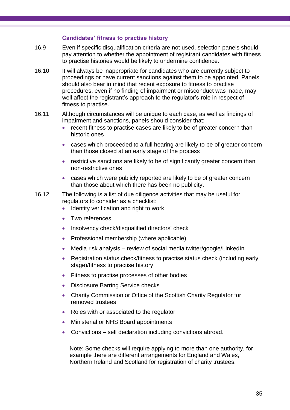### **Candidates' fitness to practise history**

- 16.9 Even if specific disqualification criteria are not used, selection panels should pay attention to whether the appointment of registrant candidates with fitness to practise histories would be likely to undermine confidence.
- 16.10 It will always be inappropriate for candidates who are currently subject to proceedings or have current sanctions against them to be appointed. Panels should also bear in mind that recent exposure to fitness to practise procedures, even if no finding of impairment or misconduct was made, may well affect the registrant's approach to the regulator's role in respect of fitness to practise.
- 16.11 Although circumstances will be unique to each case, as well as findings of impairment and sanctions, panels should consider that:
	- recent fitness to practise cases are likely to be of greater concern than historic ones
	- cases which proceeded to a full hearing are likely to be of greater concern than those closed at an early stage of the process
	- restrictive sanctions are likely to be of significantly greater concern than non-restrictive ones
	- cases which were publicly reported are likely to be of greater concern than those about which there has been no publicity.
- 16.12 The following is a list of due diligence activities that may be useful for regulators to consider as a checklist:
	- Identity verification and right to work
	- Two references
	- Insolvency check/disqualified directors' check
	- Professional membership (where applicable)
	- Media risk analysis review of social media twitter/google/LinkedIn
	- Registration status check/fitness to practise status check (including early stage)/fitness to practise history
	- Fitness to practise processes of other bodies
	- Disclosure Barring Service checks
	- Charity Commission or Office of the Scottish Charity Regulator for removed trustees
	- Roles with or associated to the regulator
	- Ministerial or NHS Board appointments
	- Convictions self declaration including convictions abroad.

Note: Some checks will require applying to more than one authority, for example there are different arrangements for England and Wales, Northern Ireland and Scotland for registration of charity trustees.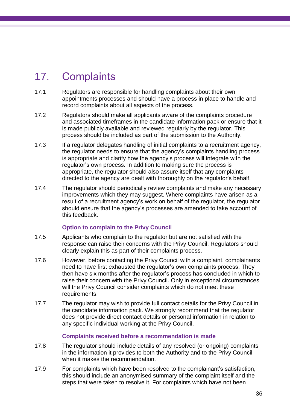## <span id="page-38-0"></span>17. Complaints

- 17.1 Regulators are responsible for handling complaints about their own appointments processes and should have a process in place to handle and record complaints about all aspects of the process.
- 17.2 Regulators should make all applicants aware of the complaints procedure and associated timeframes in the candidate information pack or ensure that it is made publicly available and reviewed regularly by the regulator. This process should be included as part of the submission to the Authority.
- 17.3 If a regulator delegates handling of initial complaints to a recruitment agency, the regulator needs to ensure that the agency's complaints handling process is appropriate and clarify how the agency's process will integrate with the regulator's own process. In addition to making sure the process is appropriate, the regulator should also assure itself that any complaints directed to the agency are dealt with thoroughly on the regulator's behalf.
- 17.4 The regulator should periodically review complaints and make any necessary improvements which they may suggest. Where complaints have arisen as a result of a recruitment agency's work on behalf of the regulator, the regulator should ensure that the agency's processes are amended to take account of this feedback.

## **Option to complain to the Privy Council**

- 17.5 Applicants who complain to the regulator but are not satisfied with the response can raise their concerns with the Privy Council. Regulators should clearly explain this as part of their complaints process.
- 17.6 However, before contacting the Privy Council with a complaint, complainants need to have first exhausted the regulator's own complaints process. They then have six months after the regulator's process has concluded in which to raise their concern with the Privy Council. Only in exceptional circumstances will the Privy Council consider complaints which do not meet these requirements.
- 17.7 The regulator may wish to provide full contact details for the Privy Council in the candidate information pack. We strongly recommend that the regulator does not provide direct contact details or personal information in relation to any specific individual working at the Privy Council.

## **Complaints received before a recommendation is made**

- 17.8 The regulator should include details of any resolved (or ongoing) complaints in the information it provides to both the Authority and to the Privy Council when it makes the recommendation.
- 17.9 For complaints which have been resolved to the complainant's satisfaction, this should include an anonymised summary of the complaint itself and the steps that were taken to resolve it. For complaints which have not been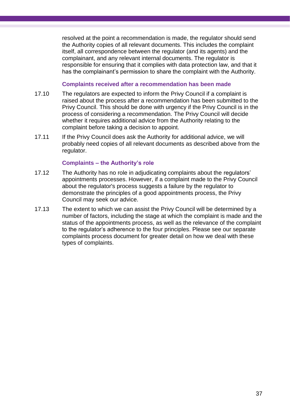resolved at the point a recommendation is made, the regulator should send the Authority copies of all relevant documents. This includes the complaint itself, all correspondence between the regulator (and its agents) and the complainant, and any relevant internal documents. The regulator is responsible for ensuring that it complies with data protection law, and that it has the complainant's permission to share the complaint with the Authority.

#### **Complaints received after a recommendation has been made**

- 17.10 The regulators are expected to inform the Privy Council if a complaint is raised about the process after a recommendation has been submitted to the Privy Council. This should be done with urgency if the Privy Council is in the process of considering a recommendation. The Privy Council will decide whether it requires additional advice from the Authority relating to the complaint before taking a decision to appoint.
- 17.11 If the Privy Council does ask the Authority for additional advice, we will probably need copies of all relevant documents as described above from the regulator.

### **Complaints – the Authority's role**

- 17.12 The Authority has no role in adjudicating complaints about the regulators' appointments processes. However, if a complaint made to the Privy Council about the regulator's process suggests a failure by the regulator to demonstrate the principles of a good appointments process, the Privy Council may seek our advice.
- 17.13 The extent to which we can assist the Privy Council will be determined by a number of factors, including the stage at which the complaint is made and the status of the appointments process, as well as the relevance of the complaint to the regulator's adherence to the four principles. Please see our separate complaints process document for greater detail on how we deal with these types of complaints.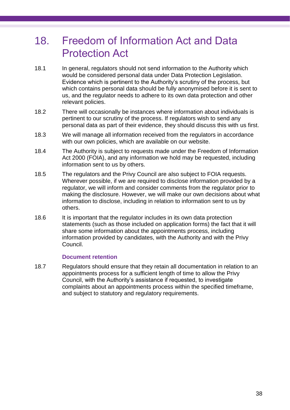## <span id="page-40-0"></span>18. Freedom of Information Act and Data Protection Act

- 18.1 In general, regulators should not send information to the Authority which would be considered personal data under Data Protection Legislation. Evidence which is pertinent to the Authority's scrutiny of the process, but which contains personal data should be fully anonymised before it is sent to us, and the regulator needs to adhere to its own data protection and other relevant policies.
- 18.2 There will occasionally be instances where information about individuals is pertinent to our scrutiny of the process. If regulators wish to send any personal data as part of their evidence, they should discuss this with us first.
- 18.3 We will manage all information received from the regulators in accordance with our own policies, which are available on our website.
- 18.4 The Authority is subject to requests made under the Freedom of Information Act 2000 (FOIA), and any information we hold may be requested, including information sent to us by others.
- 18.5 The regulators and the Privy Council are also subject to FOIA requests. Wherever possible, if we are required to disclose information provided by a regulator, we will inform and consider comments from the regulator prior to making the disclosure. However, we will make our own decisions about what information to disclose, including in relation to information sent to us by others.
- 18.6 It is important that the regulator includes in its own data protection statements (such as those included on application forms) the fact that it will share some information about the appointments process, including information provided by candidates, with the Authority and with the Privy Council.

## **Document retention**

18.7 Regulators should ensure that they retain all documentation in relation to an appointments process for a sufficient length of time to allow the Privy Council, with the Authority's assistance if requested, to investigate complaints about an appointments process within the specified timeframe, and subject to statutory and regulatory requirements.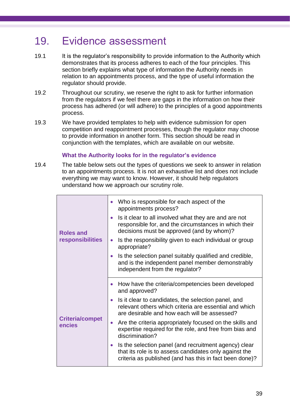## <span id="page-41-0"></span>19. Evidence assessment

- 19.1 It is the regulator's responsibility to provide information to the Authority which demonstrates that its process adheres to each of the four principles. This section briefly explains what type of information the Authority needs in relation to an appointments process, and the type of useful information the regulator should provide.
- 19.2 Throughout our scrutiny, we reserve the right to ask for further information from the regulators if we feel there are gaps in the information on how their process has adhered (or will adhere) to the principles of a good appointments process.
- 19.3 We have provided templates to help with evidence submission for open competition and reappointment processes, though the regulator may choose to provide information in another form. This section should be read in conjunction with the templates, which are available on our website.

## **What the Authority looks for in the regulator's evidence**

19.4 The table below sets out the types of questions we seek to answer in relation to an appointments process. It is not an exhaustive list and does not include everything we may want to know. However, it should help regulators understand how we approach our scrutiny role.

|  | <b>Roles and</b><br>responsibilities | Who is responsible for each aspect of the<br>$\bullet$<br>appointments process?                                                                                                         |
|--|--------------------------------------|-----------------------------------------------------------------------------------------------------------------------------------------------------------------------------------------|
|  |                                      | Is it clear to all involved what they are and are not<br>$\bullet$<br>responsible for, and the circumstances in which their<br>decisions must be approved (and by whom)?                |
|  |                                      | Is the responsibility given to each individual or group<br>$\bullet$<br>appropriate?                                                                                                    |
|  |                                      | Is the selection panel suitably qualified and credible,<br>$\bullet$<br>and is the independent panel member demonstrably<br>independent from the regulator?                             |
|  | <b>Criteria/compet</b><br>encies     | How have the criteria/competencies been developed<br>$\bullet$<br>and approved?                                                                                                         |
|  |                                      | Is it clear to candidates, the selection panel, and<br>$\bullet$<br>relevant others which criteria are essential and which<br>are desirable and how each will be assessed?              |
|  |                                      | Are the criteria appropriately focused on the skills and<br>$\bullet$<br>expertise required for the role, and free from bias and<br>discrimination?                                     |
|  |                                      | Is the selection panel (and recruitment agency) clear<br>$\bullet$<br>that its role is to assess candidates only against the<br>criteria as published (and has this in fact been done)? |
|  |                                      |                                                                                                                                                                                         |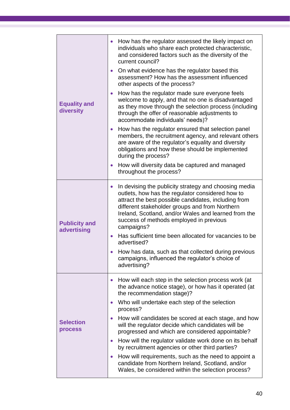|                                     | • How has the regulator assessed the likely impact on<br>individuals who share each protected characteristic,<br>and considered factors such as the diversity of the<br>current council?                                                                                                                                                          |
|-------------------------------------|---------------------------------------------------------------------------------------------------------------------------------------------------------------------------------------------------------------------------------------------------------------------------------------------------------------------------------------------------|
|                                     | On what evidence has the regulator based this<br>$\bullet$<br>assessment? How has the assessment influenced<br>other aspects of the process?                                                                                                                                                                                                      |
| <b>Equality and</b><br>diversity    | How has the regulator made sure everyone feels<br>$\bullet$<br>welcome to apply, and that no one is disadvantaged<br>as they move through the selection process (including<br>through the offer of reasonable adjustments to<br>accommodate individuals' needs)?                                                                                  |
|                                     | How has the regulator ensured that selection panel<br>$\bullet$<br>members, the recruitment agency, and relevant others<br>are aware of the regulator's equality and diversity<br>obligations and how these should be implemented<br>during the process?                                                                                          |
|                                     | How will diversity data be captured and managed<br>$\bullet$<br>throughout the process?                                                                                                                                                                                                                                                           |
| <b>Publicity and</b><br>advertising | In devising the publicity strategy and choosing media<br>$\bullet$<br>outlets, how has the regulator considered how to<br>attract the best possible candidates, including from<br>different stakeholder groups and from Northern<br>Ireland, Scotland, and/or Wales and learned from the<br>success of methods employed in previous<br>campaigns? |
|                                     | Has sufficient time been allocated for vacancies to be<br>advertised?                                                                                                                                                                                                                                                                             |
|                                     | How has data, such as that collected during previous<br>campaigns, influenced the regulator's choice of<br>advertising?                                                                                                                                                                                                                           |
|                                     | How will each step in the selection process work (at<br>$\bullet$<br>the advance notice stage), or how has it operated (at<br>the recommendation stage)?                                                                                                                                                                                          |
|                                     | Who will undertake each step of the selection<br>$\bullet$<br>process?                                                                                                                                                                                                                                                                            |
| <b>Selection</b><br>process         | How will candidates be scored at each stage, and how<br>$\bullet$<br>will the regulator decide which candidates will be<br>progressed and which are considered appointable?                                                                                                                                                                       |
|                                     | How will the regulator validate work done on its behalf<br>by recruitment agencies or other third parties?                                                                                                                                                                                                                                        |
|                                     | How will requirements, such as the need to appoint a<br>$\bullet$<br>candidate from Northern Ireland, Scotland, and/or<br>Wales, be considered within the selection process?                                                                                                                                                                      |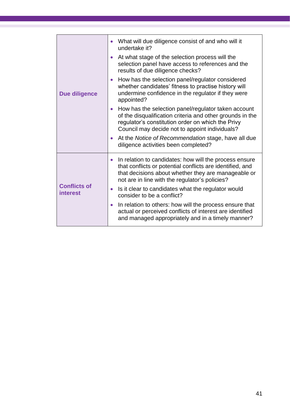|                                 | What will due diligence consist of and who will it<br>undertake it?                                                                                                                                                                       |
|---------------------------------|-------------------------------------------------------------------------------------------------------------------------------------------------------------------------------------------------------------------------------------------|
|                                 | At what stage of the selection process will the<br>$\bullet$<br>selection panel have access to references and the<br>results of due diligence checks?                                                                                     |
| <b>Due diligence</b>            | How has the selection panel/regulator considered<br>$\bullet$<br>whether candidates' fitness to practise history will<br>undermine confidence in the regulator if they were<br>appointed?                                                 |
|                                 | How has the selection panel/regulator taken account<br>of the disqualification criteria and other grounds in the<br>regulator's constitution order on which the Privy<br>Council may decide not to appoint individuals?                   |
|                                 | At the Notice of Recommendation stage, have all due<br>$\bullet$<br>diligence activities been completed?                                                                                                                                  |
|                                 | In relation to candidates: how will the process ensure<br>$\bullet$<br>that conflicts or potential conflicts are identified, and<br>that decisions about whether they are manageable or<br>not are in line with the regulator's policies? |
| <b>Conflicts of</b><br>interest | Is it clear to candidates what the regulator would<br>$\bullet$<br>consider to be a conflict?                                                                                                                                             |
|                                 | In relation to others: how will the process ensure that<br>$\bullet$<br>actual or perceived conflicts of interest are identified<br>and managed appropriately and in a timely manner?                                                     |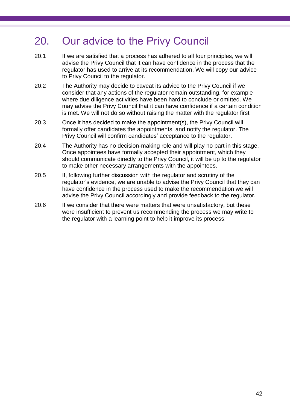## <span id="page-44-0"></span>20. Our advice to the Privy Council

- 20.1 If we are satisfied that a process has adhered to all four principles, we will advise the Privy Council that it can have confidence in the process that the regulator has used to arrive at its recommendation. We will copy our advice to Privy Council to the regulator.
- 20.2 The Authority may decide to caveat its advice to the Privy Council if we consider that any actions of the regulator remain outstanding, for example where due diligence activities have been hard to conclude or omitted. We may advise the Privy Council that it can have confidence if a certain condition is met. We will not do so without raising the matter with the regulator first
- 20.3 Once it has decided to make the appointment(s), the Privy Council will formally offer candidates the appointments, and notify the regulator. The Privy Council will confirm candidates' acceptance to the regulator.
- 20.4 The Authority has no decision-making role and will play no part in this stage. Once appointees have formally accepted their appointment, which they should communicate directly to the Privy Council, it will be up to the regulator to make other necessary arrangements with the appointees.
- 20.5 If, following further discussion with the regulator and scrutiny of the regulator's evidence, we are unable to advise the Privy Council that they can have confidence in the process used to make the recommendation we will advise the Privy Council accordingly and provide feedback to the regulator.
- 20.6 If we consider that there were matters that were unsatisfactory, but these were insufficient to prevent us recommending the process we may write to the regulator with a learning point to help it improve its process.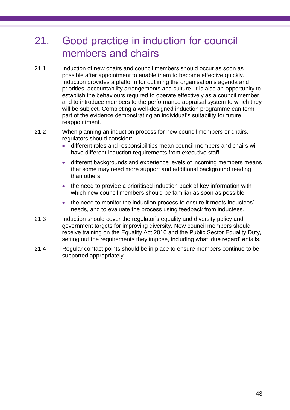## <span id="page-45-0"></span>21. Good practice in induction for council members and chairs

- 21.1 Induction of new chairs and council members should occur as soon as possible after appointment to enable them to become effective quickly. Induction provides a platform for outlining the organisation's agenda and priorities, accountability arrangements and culture. It is also an opportunity to establish the behaviours required to operate effectively as a council member, and to introduce members to the performance appraisal system to which they will be subject. Completing a well-designed induction programme can form part of the evidence demonstrating an individual's suitability for future reappointment.
- 21.2 When planning an induction process for new council members or chairs, regulators should consider:
	- different roles and responsibilities mean council members and chairs will have different induction requirements from executive staff
	- different backgrounds and experience levels of incoming members means that some may need more support and additional background reading than others
	- the need to provide a prioritised induction pack of key information with which new council members should be familiar as soon as possible
	- the need to monitor the induction process to ensure it meets inductees' needs, and to evaluate the process using feedback from inductees.
- 21.3 Induction should cover the regulator's equality and diversity policy and government targets for improving diversity. New council members should receive training on the Equality Act 2010 and the Public Sector Equality Duty, setting out the requirements they impose, including what 'due regard' entails.
- 21.4 Regular contact points should be in place to ensure members continue to be supported appropriately.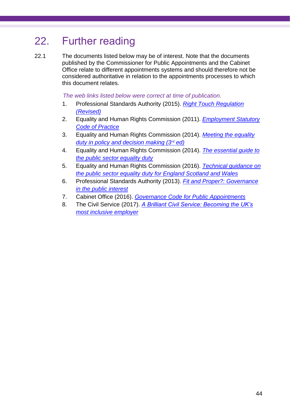## <span id="page-46-0"></span>22. Further reading

22.1 The documents listed below may be of interest. Note that the documents published by the Commissioner for Public Appointments and the Cabinet Office relate to different appointments systems and should therefore not be considered authoritative in relation to the appointments processes to which this document relates.

*The web links listed below were correct at time of publication.*

- 1. Professional Standards Authority (2015). *[Right Touch Regulation](https://www.professionalstandards.org.uk/docs/default-source/publications/thought-paper/right-touch-regulation-2015.pdf?sfvrsn=eaf77f20_18)  [\(Revised\)](https://www.professionalstandards.org.uk/docs/default-source/publications/thought-paper/right-touch-regulation-2015.pdf?sfvrsn=eaf77f20_18)*
- 2. Equality and Human Rights Commission (2011). *[Employment Statutory](https://www.equalityhumanrights.com/sites/default/files/employercode.pdf)  [Code of Practice](https://www.equalityhumanrights.com/sites/default/files/employercode.pdf)*
- 3. Equality and Human Rights Commission (2014). *[Meeting the equality](https://www.equalityhumanrights.com/sites/default/files/meeting_the_duty_in_policy_and_decision-making.pdf)  [duty in policy and decision making \(3](https://www.equalityhumanrights.com/sites/default/files/meeting_the_duty_in_policy_and_decision-making.pdf)rd ed)*
- 4. Equality and Human Rights Commission (2014). *[The essential guide to](file:///C:/Users/lloughran/AppData/Local/Microsoft/Windows/INetCache/Content.Outlook/F635QF9R/1.%09Equality%20and%20Human%20Rights%20Commission,%202012.%20The%20essential%20guide%20to%20the%20public%20sector%20equality%20duty)  [the public sector equality duty](file:///C:/Users/lloughran/AppData/Local/Microsoft/Windows/INetCache/Content.Outlook/F635QF9R/1.%09Equality%20and%20Human%20Rights%20Commission,%202012.%20The%20essential%20guide%20to%20the%20public%20sector%20equality%20duty)*
- 5. Equality and Human Rights Commission (2016). *[Technical guidance on](https://www.equalityhumanrights.com/en/advice-and-guidance/public-sector-equality-duty-guidance)  [the public sector equality duty for England Scotland and Wales](https://www.equalityhumanrights.com/en/advice-and-guidance/public-sector-equality-duty-guidance)*
- 6. Professional Standards Authority (2013). *[Fit and Proper?: Governance](http://www.professionalstandards.org.uk/docs/default-source/publications/thought-paper/fit-and-proper-2013.pdf?sfvrsn=2)  [in the public interest](http://www.professionalstandards.org.uk/docs/default-source/publications/thought-paper/fit-and-proper-2013.pdf?sfvrsn=2)*
- 7. Cabinet Office (2016). *[Governance Code for Public Appointments](https://www.gov.uk/government/publications/governance-code-for-public-appointments)*
- 8. The Civil Service (2017). *[A Brilliant Civil Service: Becoming the UK's](https://www.gov.uk/government/publications/a-brilliant-civil-service-becoming-the-uks-most-inclusive-employer)  [most inclusive employer](https://www.gov.uk/government/publications/a-brilliant-civil-service-becoming-the-uks-most-inclusive-employer)*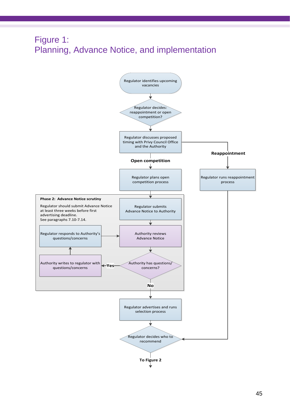## Figure 1: Planning, Advance Notice, and implementation

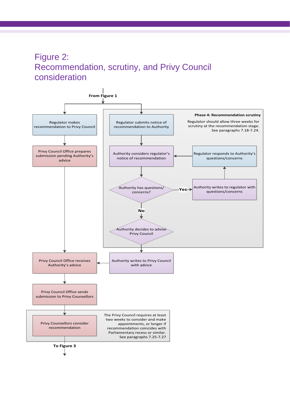## Figure 2: Recommendation, scrutiny, and Privy Council consideration

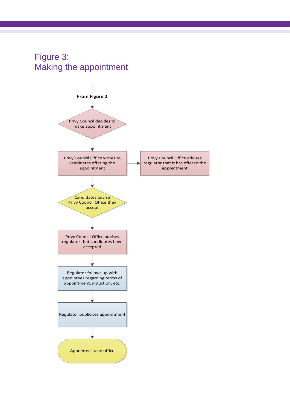## Figure 3: Making the appointment